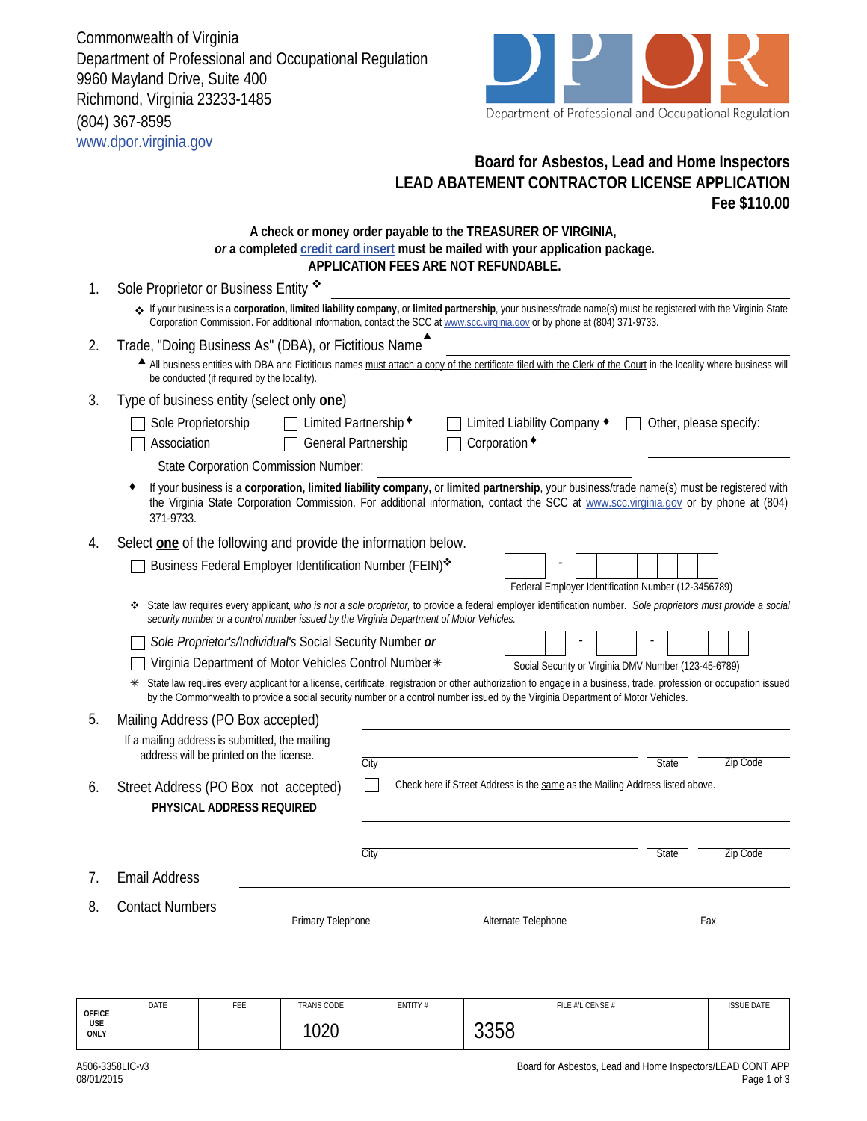Commonwealth of Virginia Department of Professional and Occupational Regulation 9960 Mayland Drive, Suite 400 Richmond, Virginia 23233-1485 (804) 367-8595 www.dpor.virginia.gov



## **Board for Asbestos, Lead and Home Inspectors LEAD ABATEMENT CONTRACTOR LICENSE APPLICATION Fee \$110.00**

## **A check or money order payable to the TREASURER OF VIRGINIA,**  *or* **a completed credit card insert must be mailed with your application package. APPLICATION FEES ARE NOT REFUNDABLE.**

| 1.                 | Sole Proprietor or Business Entity *                                                                                                                                                                                                                                                         |      |                                                                                                                                                                                                                                                                                                        |                            |  |                                                                               |  |                  |     |       |                 |  |                   |  |
|--------------------|----------------------------------------------------------------------------------------------------------------------------------------------------------------------------------------------------------------------------------------------------------------------------------------------|------|--------------------------------------------------------------------------------------------------------------------------------------------------------------------------------------------------------------------------------------------------------------------------------------------------------|----------------------------|--|-------------------------------------------------------------------------------|--|------------------|-----|-------|-----------------|--|-------------------|--|
|                    | . If your business is a corporation, limited liability company, or limited partnership, your business/trade name(s) must be registered with the Virginia State<br>Corporation Commission. For additional information, contact the SCC at www.scc.virginia.gov or by phone at (804) 371-9733. |      |                                                                                                                                                                                                                                                                                                        |                            |  |                                                                               |  |                  |     |       |                 |  |                   |  |
| 2.                 | Trade, "Doing Business As" (DBA), or Fictitious Name                                                                                                                                                                                                                                         |      |                                                                                                                                                                                                                                                                                                        |                            |  |                                                                               |  |                  |     |       |                 |  |                   |  |
|                    | All business entities with DBA and Fictitious names must attach a copy of the certificate filed with the Clerk of the Court in the locality where business will<br>be conducted (if required by the locality).                                                                               |      |                                                                                                                                                                                                                                                                                                        |                            |  |                                                                               |  |                  |     |       |                 |  |                   |  |
| 3.                 | Type of business entity (select only one)                                                                                                                                                                                                                                                    |      |                                                                                                                                                                                                                                                                                                        |                            |  |                                                                               |  |                  |     |       |                 |  |                   |  |
|                    | Sole Proprietorship<br>Limited Partnership ◆<br>Limited Liability Company ◆<br>Other, please specify:<br>Corporation •<br>Association<br>General Partnership                                                                                                                                 |      |                                                                                                                                                                                                                                                                                                        |                            |  |                                                                               |  |                  |     |       |                 |  |                   |  |
|                    | <b>State Corporation Commission Number:</b>                                                                                                                                                                                                                                                  |      |                                                                                                                                                                                                                                                                                                        |                            |  |                                                                               |  |                  |     |       |                 |  |                   |  |
|                    | 371-9733.                                                                                                                                                                                                                                                                                    |      | If your business is a corporation, limited liability company, or limited partnership, your business/trade name(s) must be registered with<br>the Virginia State Corporation Commission. For additional information, contact the SCC at www.scc.virginia.gov or by phone at (804)                       |                            |  |                                                                               |  |                  |     |       |                 |  |                   |  |
| 4.                 | Select one of the following and provide the information below.                                                                                                                                                                                                                               |      |                                                                                                                                                                                                                                                                                                        |                            |  |                                                                               |  |                  |     |       |                 |  |                   |  |
|                    |                                                                                                                                                                                                                                                                                              |      | Business Federal Employer Identification Number (FEIN)*                                                                                                                                                                                                                                                |                            |  |                                                                               |  |                  |     |       |                 |  |                   |  |
|                    | Federal Employer Identification Number (12-3456789)                                                                                                                                                                                                                                          |      |                                                                                                                                                                                                                                                                                                        |                            |  |                                                                               |  |                  |     |       |                 |  |                   |  |
|                    | State law requires every applicant, who is not a sole proprietor, to provide a federal employer identification number. Sole proprietors must provide a social<br>٠<br>security number or a control number issued by the Virginia Department of Motor Vehicles.                               |      |                                                                                                                                                                                                                                                                                                        |                            |  |                                                                               |  |                  |     |       |                 |  |                   |  |
|                    | Sole Proprietor's/Individual's Social Security Number or                                                                                                                                                                                                                                     |      |                                                                                                                                                                                                                                                                                                        |                            |  |                                                                               |  |                  |     |       |                 |  |                   |  |
|                    | Virginia Department of Motor Vehicles Control Number *<br>Social Security or Virginia DMV Number (123-45-6789)                                                                                                                                                                               |      |                                                                                                                                                                                                                                                                                                        |                            |  |                                                                               |  |                  |     |       |                 |  |                   |  |
|                    |                                                                                                                                                                                                                                                                                              |      | State law requires every applicant for a license, certificate, registration or other authorization to engage in a business, trade, profession or occupation issued<br>by the Commonwealth to provide a social security number or a control number issued by the Virginia Department of Motor Vehicles. |                            |  |                                                                               |  |                  |     |       |                 |  |                   |  |
| 5.                 | Mailing Address (PO Box accepted)                                                                                                                                                                                                                                                            |      |                                                                                                                                                                                                                                                                                                        |                            |  |                                                                               |  |                  |     |       |                 |  |                   |  |
|                    | If a mailing address is submitted, the mailing                                                                                                                                                                                                                                               |      |                                                                                                                                                                                                                                                                                                        |                            |  |                                                                               |  |                  |     |       |                 |  |                   |  |
|                    | address will be printed on the license.                                                                                                                                                                                                                                                      | City |                                                                                                                                                                                                                                                                                                        |                            |  |                                                                               |  | <b>State</b>     |     |       | <b>Zip Code</b> |  |                   |  |
| 6.                 | Street Address (PO Box not accepted)<br>PHYSICAL ADDRESS REQUIRED                                                                                                                                                                                                                            |      |                                                                                                                                                                                                                                                                                                        |                            |  | Check here if Street Address is the same as the Mailing Address listed above. |  |                  |     |       |                 |  |                   |  |
|                    |                                                                                                                                                                                                                                                                                              |      |                                                                                                                                                                                                                                                                                                        |                            |  |                                                                               |  |                  |     |       |                 |  |                   |  |
|                    |                                                                                                                                                                                                                                                                                              |      |                                                                                                                                                                                                                                                                                                        | City                       |  |                                                                               |  |                  |     | State |                 |  | Zip Code          |  |
| 7.                 | <b>Email Address</b>                                                                                                                                                                                                                                                                         |      |                                                                                                                                                                                                                                                                                                        |                            |  |                                                                               |  |                  |     |       |                 |  |                   |  |
| 8.                 | <b>Contact Numbers</b>                                                                                                                                                                                                                                                                       |      |                                                                                                                                                                                                                                                                                                        |                            |  |                                                                               |  |                  |     |       |                 |  |                   |  |
|                    | <b>Primary Telephone</b>                                                                                                                                                                                                                                                                     |      |                                                                                                                                                                                                                                                                                                        | <b>Alternate Telephone</b> |  |                                                                               |  |                  | Fax |       |                 |  |                   |  |
|                    |                                                                                                                                                                                                                                                                                              |      |                                                                                                                                                                                                                                                                                                        |                            |  |                                                                               |  |                  |     |       |                 |  |                   |  |
| <b>OFFICE</b>      | DATE                                                                                                                                                                                                                                                                                         | FEE  | TRANS CODE                                                                                                                                                                                                                                                                                             | ENTITY#                    |  |                                                                               |  | FILE #/LICENSE # |     |       |                 |  | <b>ISSUE DATE</b> |  |
| <b>USE</b><br>ONLY |                                                                                                                                                                                                                                                                                              |      | 1020                                                                                                                                                                                                                                                                                                   |                            |  | 3358                                                                          |  |                  |     |       |                 |  |                   |  |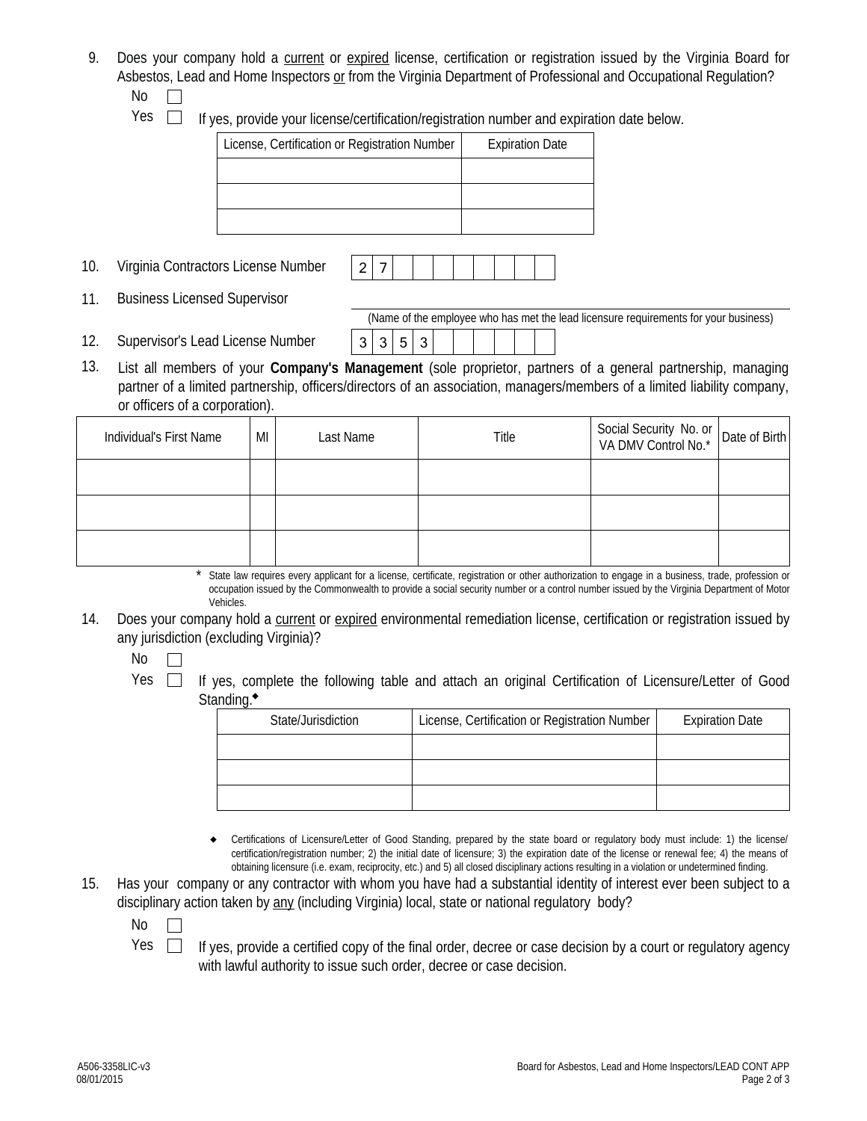- 9. Does your company hold a current or expired license, certification or registration issued by the Virginia Board for Asbestos, Lead and Home Inspectors or from the Virginia Department of Professional and Occupational Regulation? No  $\Box$ 
	-

 $Yes \Box$  If yes, provide your license/certification/registration number and expiration date below.

| License, Certification or Registration Number | <b>Expiration Date</b> |
|-----------------------------------------------|------------------------|
|                                               |                        |
|                                               |                        |
|                                               |                        |

- 10. Virginia Contractors License Number | 2 | 7
- 11. Business Licensed Supervisor

(Name of the employee who has met the lead licensure requirements for your business)

12. Supervisor's Lead License Number  $\begin{array}{|c|c|c|c|c|c|}\n\hline\n & 3 & 3 & 5 & 3\n\end{array}$ 13. List all members of your **Company's Management** (sole proprietor, partners of a general partnership, managing partner of a limited partnership, officers/directors of an association, managers/members of a limited liability company, or officers of a corporation).

| Individual's First Name | MI | Last Name | Title | Social Security No. or<br>VA DMV Control No.* Date of Birth |  |
|-------------------------|----|-----------|-------|-------------------------------------------------------------|--|
|                         |    |           |       |                                                             |  |
|                         |    |           |       |                                                             |  |
|                         |    |           |       |                                                             |  |

State law requires every applicant for a license, certificate, registration or other authorization to engage in a business, trade, profession or occupation issued by the Commonwealth to provide a social security number or a control number issued by the Virginia Department of Motor Vehicles. \*

14. Does your company hold a current or expired environmental remediation license, certification or registration issued by any jurisdiction (excluding Virginia)?

No  $\Box$ 

Yes  $\Box$  If yes, complete the following table and attach an original Certification of Licensure/Letter of Good Standing.<sup>\*</sup>

| State/Jurisdiction | License, Certification or Registration Number | <b>Expiration Date</b> |
|--------------------|-----------------------------------------------|------------------------|
|                    |                                               |                        |
|                    |                                               |                        |
|                    |                                               |                        |

- Certifications of Licensure/Letter of Good Standing, prepared by the state board or regulatory body must include: 1) the license/ certification/registration number; 2) the initial date of licensure; 3) the expiration date of the license or renewal fee; 4) the means of obtaining licensure (i.e. exam, reciprocity, etc.) and 5) all closed disciplinary actions resulting in a violation or undetermined finding.  $\bullet$
- 15. Has your company or any contractor with whom you have had a substantial identity of interest ever been subject to a disciplinary action taken by any (including Virginia) local, state or national regulatory body?
	- No  $\Box$
	- $Yes \Box$  If yes, provide a certified copy of the final order, decree or case decision by a court or regulatory agency with lawful authority to issue such order, decree or case decision.